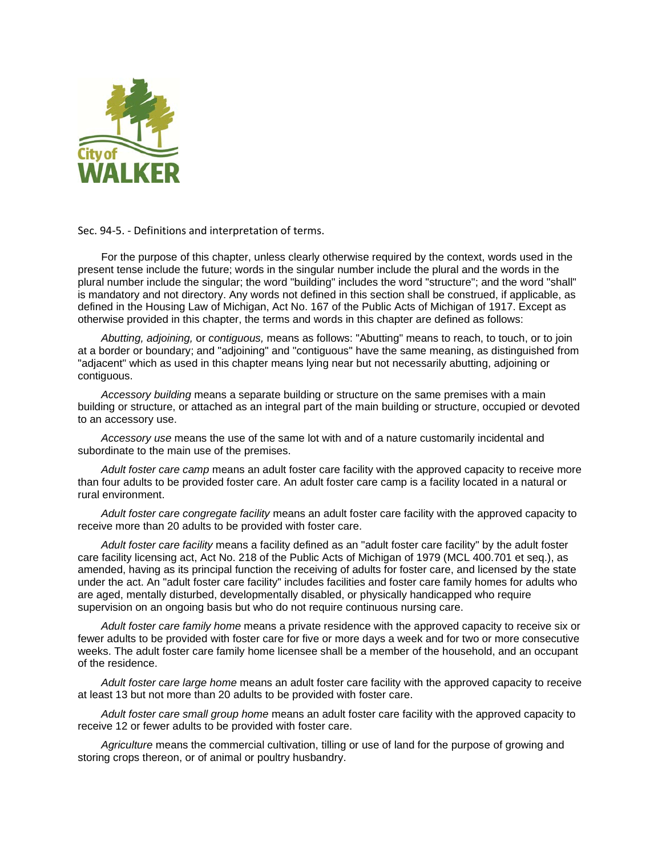

Sec. 94-5. - Definitions and interpretation of terms.

For the purpose of this chapter, unless clearly otherwise required by the context, words used in the present tense include the future; words in the singular number include the plural and the words in the plural number include the singular; the word "building" includes the word "structure"; and the word "shall" is mandatory and not directory. Any words not defined in this section shall be construed, if applicable, as defined in the Housing Law of Michigan, Act No. 167 of the Public Acts of Michigan of 1917. Except as otherwise provided in this chapter, the terms and words in this chapter are defined as follows:

*Abutting, adjoining,* or *contiguous,* means as follows: "Abutting" means to reach, to touch, or to join at a border or boundary; and "adjoining" and "contiguous" have the same meaning, as distinguished from "adjacent" which as used in this chapter means lying near but not necessarily abutting, adjoining or contiguous.

*Accessory building* means a separate building or structure on the same premises with a main building or structure, or attached as an integral part of the main building or structure, occupied or devoted to an accessory use.

*Accessory use* means the use of the same lot with and of a nature customarily incidental and subordinate to the main use of the premises.

*Adult foster care camp* means an adult foster care facility with the approved capacity to receive more than four adults to be provided foster care. An adult foster care camp is a facility located in a natural or rural environment.

*Adult foster care congregate facility* means an adult foster care facility with the approved capacity to receive more than 20 adults to be provided with foster care.

*Adult foster care facility* means a facility defined as an "adult foster care facility" by the adult foster care facility licensing act, Act No. 218 of the Public Acts of Michigan of 1979 (MCL 400.701 et seq.), as amended, having as its principal function the receiving of adults for foster care, and licensed by the state under the act. An "adult foster care facility" includes facilities and foster care family homes for adults who are aged, mentally disturbed, developmentally disabled, or physically handicapped who require supervision on an ongoing basis but who do not require continuous nursing care.

*Adult foster care family home* means a private residence with the approved capacity to receive six or fewer adults to be provided with foster care for five or more days a week and for two or more consecutive weeks. The adult foster care family home licensee shall be a member of the household, and an occupant of the residence.

*Adult foster care large home* means an adult foster care facility with the approved capacity to receive at least 13 but not more than 20 adults to be provided with foster care.

*Adult foster care small group home* means an adult foster care facility with the approved capacity to receive 12 or fewer adults to be provided with foster care.

*Agriculture* means the commercial cultivation, tilling or use of land for the purpose of growing and storing crops thereon, or of animal or poultry husbandry.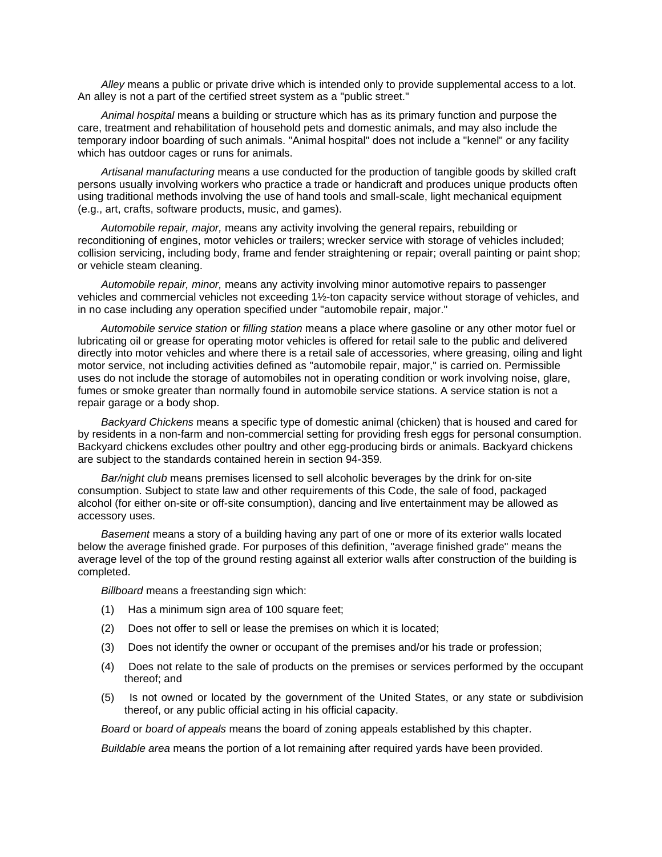*Alley* means a public or private drive which is intended only to provide supplemental access to a lot. An alley is not a part of the certified street system as a "public street."

*Animal hospital* means a building or structure which has as its primary function and purpose the care, treatment and rehabilitation of household pets and domestic animals, and may also include the temporary indoor boarding of such animals. "Animal hospital" does not include a "kennel" or any facility which has outdoor cages or runs for animals.

*Artisanal manufacturing* means a use conducted for the production of tangible goods by skilled craft persons usually involving workers who practice a trade or handicraft and produces unique products often using traditional methods involving the use of hand tools and small-scale, light mechanical equipment (e.g., art, crafts, software products, music, and games).

*Automobile repair, major,* means any activity involving the general repairs, rebuilding or reconditioning of engines, motor vehicles or trailers; wrecker service with storage of vehicles included; collision servicing, including body, frame and fender straightening or repair; overall painting or paint shop; or vehicle steam cleaning.

*Automobile repair, minor,* means any activity involving minor automotive repairs to passenger vehicles and commercial vehicles not exceeding 1½-ton capacity service without storage of vehicles, and in no case including any operation specified under "automobile repair, major."

*Automobile service station* or *filling station* means a place where gasoline or any other motor fuel or lubricating oil or grease for operating motor vehicles is offered for retail sale to the public and delivered directly into motor vehicles and where there is a retail sale of accessories, where greasing, oiling and light motor service, not including activities defined as "automobile repair, major," is carried on. Permissible uses do not include the storage of automobiles not in operating condition or work involving noise, glare, fumes or smoke greater than normally found in automobile service stations. A service station is not a repair garage or a body shop.

*Backyard Chickens* means a specific type of domestic animal (chicken) that is housed and cared for by residents in a non-farm and non-commercial setting for providing fresh eggs for personal consumption. Backyard chickens excludes other poultry and other egg-producing birds or animals. Backyard chickens are subject to the standards contained herein in section 94-359.

*Bar/night club* means premises licensed to sell alcoholic beverages by the drink for on-site consumption. Subject to state law and other requirements of this Code, the sale of food, packaged alcohol (for either on-site or off-site consumption), dancing and live entertainment may be allowed as accessory uses.

*Basement* means a story of a building having any part of one or more of its exterior walls located below the average finished grade. For purposes of this definition, "average finished grade" means the average level of the top of the ground resting against all exterior walls after construction of the building is completed.

*Billboard* means a freestanding sign which:

- (1) Has a minimum sign area of 100 square feet;
- (2) Does not offer to sell or lease the premises on which it is located;
- (3) Does not identify the owner or occupant of the premises and/or his trade or profession;
- (4) Does not relate to the sale of products on the premises or services performed by the occupant thereof; and
- (5) Is not owned or located by the government of the United States, or any state or subdivision thereof, or any public official acting in his official capacity.

*Board* or *board of appeals* means the board of zoning appeals established by this chapter.

*Buildable area* means the portion of a lot remaining after required yards have been provided.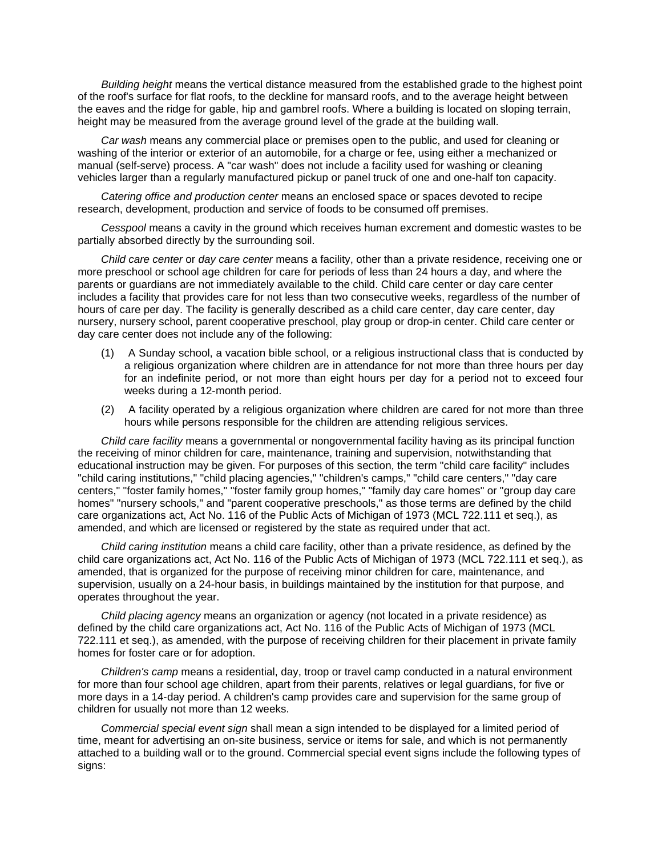*Building height* means the vertical distance measured from the established grade to the highest point of the roof's surface for flat roofs, to the deckline for mansard roofs, and to the average height between the eaves and the ridge for gable, hip and gambrel roofs. Where a building is located on sloping terrain, height may be measured from the average ground level of the grade at the building wall.

*Car wash* means any commercial place or premises open to the public, and used for cleaning or washing of the interior or exterior of an automobile, for a charge or fee, using either a mechanized or manual (self-serve) process. A "car wash" does not include a facility used for washing or cleaning vehicles larger than a regularly manufactured pickup or panel truck of one and one-half ton capacity.

*Catering office and production center* means an enclosed space or spaces devoted to recipe research, development, production and service of foods to be consumed off premises.

*Cesspool* means a cavity in the ground which receives human excrement and domestic wastes to be partially absorbed directly by the surrounding soil.

*Child care center* or *day care center* means a facility, other than a private residence, receiving one or more preschool or school age children for care for periods of less than 24 hours a day, and where the parents or guardians are not immediately available to the child. Child care center or day care center includes a facility that provides care for not less than two consecutive weeks, regardless of the number of hours of care per day. The facility is generally described as a child care center, day care center, day nursery, nursery school, parent cooperative preschool, play group or drop-in center. Child care center or day care center does not include any of the following:

- (1) A Sunday school, a vacation bible school, or a religious instructional class that is conducted by a religious organization where children are in attendance for not more than three hours per day for an indefinite period, or not more than eight hours per day for a period not to exceed four weeks during a 12-month period.
- (2) A facility operated by a religious organization where children are cared for not more than three hours while persons responsible for the children are attending religious services.

*Child care facility* means a governmental or nongovernmental facility having as its principal function the receiving of minor children for care, maintenance, training and supervision, notwithstanding that educational instruction may be given. For purposes of this section, the term "child care facility" includes "child caring institutions," "child placing agencies," "children's camps," "child care centers," "day care centers," "foster family homes," "foster family group homes," "family day care homes" or "group day care homes" "nursery schools," and "parent cooperative preschools," as those terms are defined by the child care organizations act, Act No. 116 of the Public Acts of Michigan of 1973 (MCL 722.111 et seq.), as amended, and which are licensed or registered by the state as required under that act.

*Child caring institution* means a child care facility, other than a private residence, as defined by the child care organizations act, Act No. 116 of the Public Acts of Michigan of 1973 (MCL 722.111 et seq.), as amended, that is organized for the purpose of receiving minor children for care, maintenance, and supervision, usually on a 24-hour basis, in buildings maintained by the institution for that purpose, and operates throughout the year.

*Child placing agency* means an organization or agency (not located in a private residence) as defined by the child care organizations act, Act No. 116 of the Public Acts of Michigan of 1973 (MCL 722.111 et seq.), as amended, with the purpose of receiving children for their placement in private family homes for foster care or for adoption.

*Children's camp* means a residential, day, troop or travel camp conducted in a natural environment for more than four school age children, apart from their parents, relatives or legal guardians, for five or more days in a 14-day period. A children's camp provides care and supervision for the same group of children for usually not more than 12 weeks.

*Commercial special event sign* shall mean a sign intended to be displayed for a limited period of time, meant for advertising an on-site business, service or items for sale, and which is not permanently attached to a building wall or to the ground. Commercial special event signs include the following types of signs: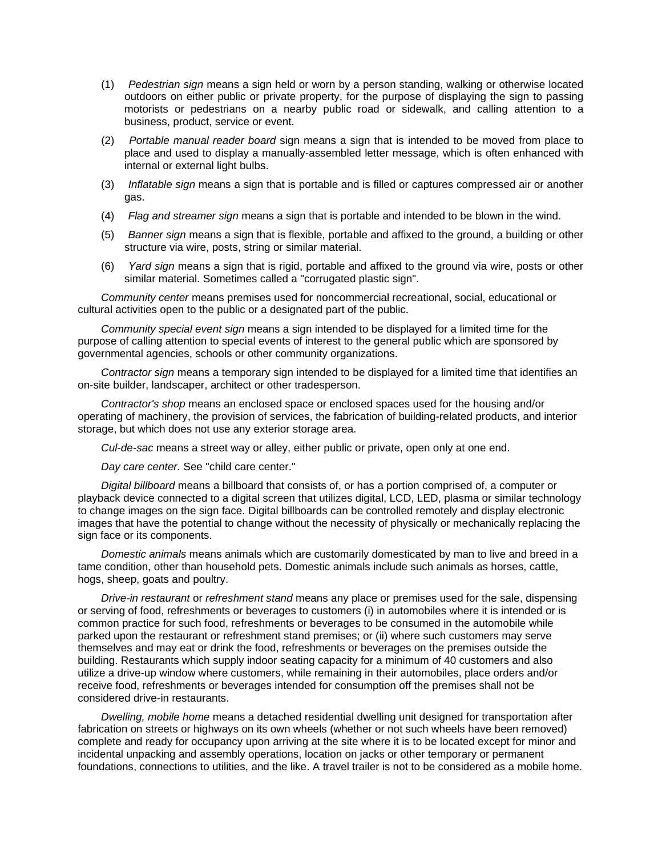- (1) *Pedestrian sign* means a sign held or worn by a person standing, walking or otherwise located outdoors on either public or private property, for the purpose of displaying the sign to passing motorists or pedestrians on a nearby public road or sidewalk, and calling attention to a business, product, service or event.
- (2) *Portable manual reader board* sign means a sign that is intended to be moved from place to place and used to display a manually-assembled letter message, which is often enhanced with internal or external light bulbs.
- (3) *Inflatable sign* means a sign that is portable and is filled or captures compressed air or another gas.
- (4) *Flag and streamer sign* means a sign that is portable and intended to be blown in the wind.
- (5) *Banner sign* means a sign that is flexible, portable and affixed to the ground, a building or other structure via wire, posts, string or similar material.
- (6) *Yard sign* means a sign that is rigid, portable and affixed to the ground via wire, posts or other similar material. Sometimes called a "corrugated plastic sign".

*Community center* means premises used for noncommercial recreational, social, educational or cultural activities open to the public or a designated part of the public.

*Community special event sign* means a sign intended to be displayed for a limited time for the purpose of calling attention to special events of interest to the general public which are sponsored by governmental agencies, schools or other community organizations.

*Contractor sign* means a temporary sign intended to be displayed for a limited time that identifies an on-site builder, landscaper, architect or other tradesperson.

*Contractor's shop* means an enclosed space or enclosed spaces used for the housing and/or operating of machinery, the provision of services, the fabrication of building-related products, and interior storage, but which does not use any exterior storage area.

*Cul-de-sac* means a street way or alley, either public or private, open only at one end.

*Day care center.* See "child care center."

*Digital billboard* means a billboard that consists of, or has a portion comprised of, a computer or playback device connected to a digital screen that utilizes digital, LCD, LED, plasma or similar technology to change images on the sign face. Digital billboards can be controlled remotely and display electronic images that have the potential to change without the necessity of physically or mechanically replacing the sign face or its components.

*Domestic animals* means animals which are customarily domesticated by man to live and breed in a tame condition, other than household pets. Domestic animals include such animals as horses, cattle, hogs, sheep, goats and poultry.

*Drive-in restaurant* or *refreshment stand* means any place or premises used for the sale, dispensing or serving of food, refreshments or beverages to customers (i) in automobiles where it is intended or is common practice for such food, refreshments or beverages to be consumed in the automobile while parked upon the restaurant or refreshment stand premises; or (ii) where such customers may serve themselves and may eat or drink the food, refreshments or beverages on the premises outside the building. Restaurants which supply indoor seating capacity for a minimum of 40 customers and also utilize a drive-up window where customers, while remaining in their automobiles, place orders and/or receive food, refreshments or beverages intended for consumption off the premises shall not be considered drive-in restaurants.

*Dwelling, mobile home* means a detached residential dwelling unit designed for transportation after fabrication on streets or highways on its own wheels (whether or not such wheels have been removed) complete and ready for occupancy upon arriving at the site where it is to be located except for minor and incidental unpacking and assembly operations, location on jacks or other temporary or permanent foundations, connections to utilities, and the like. A travel trailer is not to be considered as a mobile home.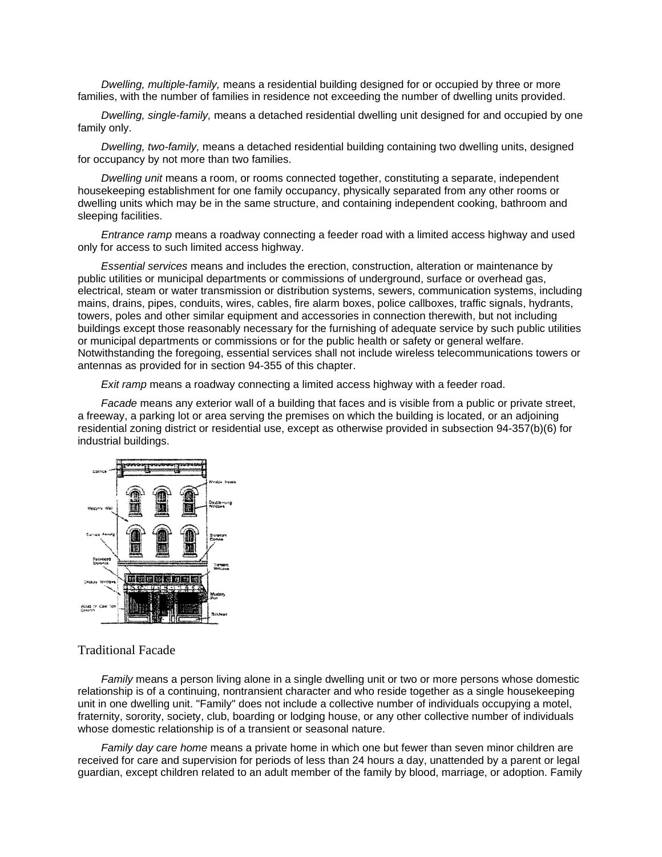*Dwelling, multiple-family,* means a residential building designed for or occupied by three or more families, with the number of families in residence not exceeding the number of dwelling units provided.

*Dwelling, single-family,* means a detached residential dwelling unit designed for and occupied by one family only.

*Dwelling, two-family,* means a detached residential building containing two dwelling units, designed for occupancy by not more than two families.

*Dwelling unit* means a room, or rooms connected together, constituting a separate, independent housekeeping establishment for one family occupancy, physically separated from any other rooms or dwelling units which may be in the same structure, and containing independent cooking, bathroom and sleeping facilities.

*Entrance ramp* means a roadway connecting a feeder road with a limited access highway and used only for access to such limited access highway.

*Essential services* means and includes the erection, construction, alteration or maintenance by public utilities or municipal departments or commissions of underground, surface or overhead gas, electrical, steam or water transmission or distribution systems, sewers, communication systems, including mains, drains, pipes, conduits, wires, cables, fire alarm boxes, police callboxes, traffic signals, hydrants, towers, poles and other similar equipment and accessories in connection therewith, but not including buildings except those reasonably necessary for the furnishing of adequate service by such public utilities or municipal departments or commissions or for the public health or safety or general welfare. Notwithstanding the foregoing, essential services shall not include wireless telecommunications towers or antennas as provided for in section 94-355 of this chapter.

*Exit ramp* means a roadway connecting a limited access highway with a feeder road.

*Facade* means any exterior wall of a building that faces and is visible from a public or private street, a freeway, a parking lot or area serving the premises on which the building is located, or an adjoining residential zoning district or residential use, except as otherwise provided in subsection 94-357(b)(6) for industrial buildings.



## Traditional Facade

*Family* means a person living alone in a single dwelling unit or two or more persons whose domestic relationship is of a continuing, nontransient character and who reside together as a single housekeeping unit in one dwelling unit. "Family" does not include a collective number of individuals occupying a motel, fraternity, sorority, society, club, boarding or lodging house, or any other collective number of individuals whose domestic relationship is of a transient or seasonal nature.

*Family day care home* means a private home in which one but fewer than seven minor children are received for care and supervision for periods of less than 24 hours a day, unattended by a parent or legal guardian, except children related to an adult member of the family by blood, marriage, or adoption. Family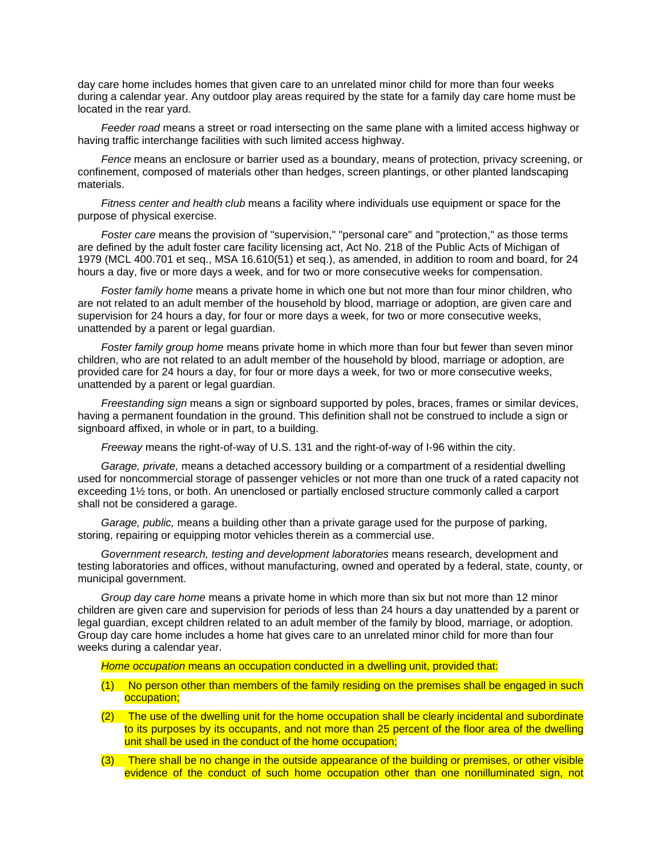day care home includes homes that given care to an unrelated minor child for more than four weeks during a calendar year. Any outdoor play areas required by the state for a family day care home must be located in the rear yard.

*Feeder road* means a street or road intersecting on the same plane with a limited access highway or having traffic interchange facilities with such limited access highway.

*Fence* means an enclosure or barrier used as a boundary, means of protection, privacy screening, or confinement, composed of materials other than hedges, screen plantings, or other planted landscaping materials.

*Fitness center and health club* means a facility where individuals use equipment or space for the purpose of physical exercise.

*Foster care* means the provision of "supervision," "personal care" and "protection," as those terms are defined by the adult foster care facility licensing act, Act No. 218 of the Public Acts of Michigan of 1979 (MCL 400.701 et seq., MSA 16.610(51) et seq.), as amended, in addition to room and board, for 24 hours a day, five or more days a week, and for two or more consecutive weeks for compensation.

*Foster family home* means a private home in which one but not more than four minor children, who are not related to an adult member of the household by blood, marriage or adoption, are given care and supervision for 24 hours a day, for four or more days a week, for two or more consecutive weeks, unattended by a parent or legal guardian.

*Foster family group home* means private home in which more than four but fewer than seven minor children, who are not related to an adult member of the household by blood, marriage or adoption, are provided care for 24 hours a day, for four or more days a week, for two or more consecutive weeks, unattended by a parent or legal guardian.

*Freestanding sign* means a sign or signboard supported by poles, braces, frames or similar devices, having a permanent foundation in the ground. This definition shall not be construed to include a sign or signboard affixed, in whole or in part, to a building.

*Freeway* means the right-of-way of U.S. 131 and the right-of-way of I-96 within the city.

*Garage, private,* means a detached accessory building or a compartment of a residential dwelling used for noncommercial storage of passenger vehicles or not more than one truck of a rated capacity not exceeding 1½ tons, or both. An unenclosed or partially enclosed structure commonly called a carport shall not be considered a garage.

*Garage, public,* means a building other than a private garage used for the purpose of parking, storing, repairing or equipping motor vehicles therein as a commercial use.

*Government research, testing and development laboratories* means research, development and testing laboratories and offices, without manufacturing, owned and operated by a federal, state, county, or municipal government.

*Group day care home* means a private home in which more than six but not more than 12 minor children are given care and supervision for periods of less than 24 hours a day unattended by a parent or legal guardian, except children related to an adult member of the family by blood, marriage, or adoption. Group day care home includes a home hat gives care to an unrelated minor child for more than four weeks during a calendar year.

*Home occupation* means an occupation conducted in a dwelling unit, provided that:

- (1) No person other than members of the family residing on the premises shall be engaged in such occupation;
- (2) The use of the dwelling unit for the home occupation shall be clearly incidental and subordinate to its purposes by its occupants, and not more than 25 percent of the floor area of the dwelling unit shall be used in the conduct of the home occupation;
- (3) There shall be no change in the outside appearance of the building or premises, or other visible evidence of the conduct of such home occupation other than one nonilluminated sign, not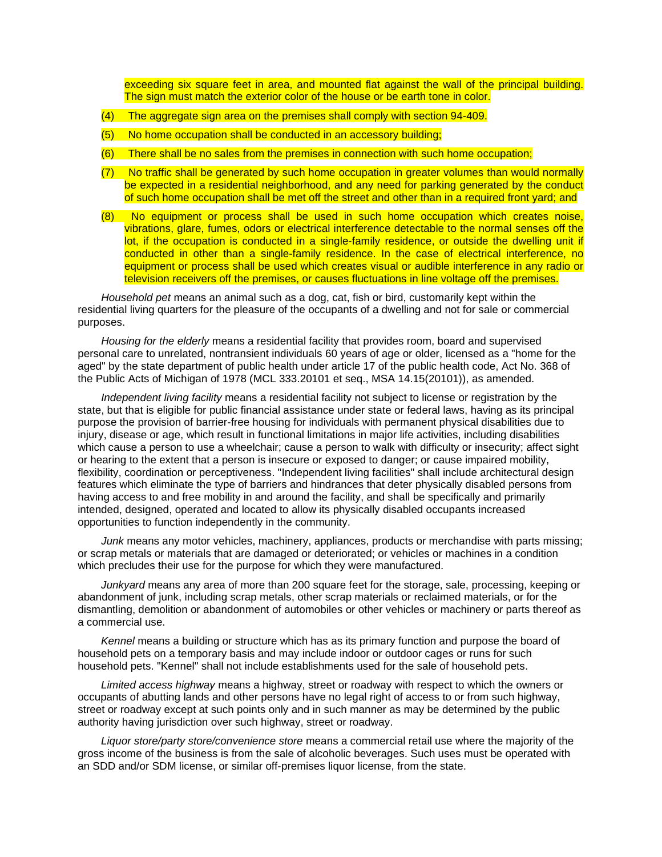exceeding six square feet in area, and mounted flat against the wall of the principal building. The sign must match the exterior color of the house or be earth tone in color.

- (4) The aggregate sign area on the premises shall comply with section 94-409.
- (5) No home occupation shall be conducted in an accessory building;
- (6) There shall be no sales from the premises in connection with such home occupation;
- (7) No traffic shall be generated by such home occupation in greater volumes than would normally be expected in a residential neighborhood, and any need for parking generated by the conduct of such home occupation shall be met off the street and other than in a required front yard; and
- (8) No equipment or process shall be used in such home occupation which creates noise, vibrations, glare, fumes, odors or electrical interference detectable to the normal senses off the lot, if the occupation is conducted in a single-family residence, or outside the dwelling unit if conducted in other than a single-family residence. In the case of electrical interference, no equipment or process shall be used which creates visual or audible interference in any radio or television receivers off the premises, or causes fluctuations in line voltage off the premises.

*Household pet* means an animal such as a dog, cat, fish or bird, customarily kept within the residential living quarters for the pleasure of the occupants of a dwelling and not for sale or commercial purposes.

*Housing for the elderly* means a residential facility that provides room, board and supervised personal care to unrelated, nontransient individuals 60 years of age or older, licensed as a "home for the aged" by the state department of public health under article 17 of the public health code, Act No. 368 of the Public Acts of Michigan of 1978 (MCL 333.20101 et seq., MSA 14.15(20101)), as amended.

*Independent living facility* means a residential facility not subject to license or registration by the state, but that is eligible for public financial assistance under state or federal laws, having as its principal purpose the provision of barrier-free housing for individuals with permanent physical disabilities due to injury, disease or age, which result in functional limitations in major life activities, including disabilities which cause a person to use a wheelchair; cause a person to walk with difficulty or insecurity; affect sight or hearing to the extent that a person is insecure or exposed to danger; or cause impaired mobility, flexibility, coordination or perceptiveness. "Independent living facilities" shall include architectural design features which eliminate the type of barriers and hindrances that deter physically disabled persons from having access to and free mobility in and around the facility, and shall be specifically and primarily intended, designed, operated and located to allow its physically disabled occupants increased opportunities to function independently in the community.

*Junk* means any motor vehicles, machinery, appliances, products or merchandise with parts missing; or scrap metals or materials that are damaged or deteriorated; or vehicles or machines in a condition which precludes their use for the purpose for which they were manufactured.

*Junkyard* means any area of more than 200 square feet for the storage, sale, processing, keeping or abandonment of junk, including scrap metals, other scrap materials or reclaimed materials, or for the dismantling, demolition or abandonment of automobiles or other vehicles or machinery or parts thereof as a commercial use.

*Kennel* means a building or structure which has as its primary function and purpose the board of household pets on a temporary basis and may include indoor or outdoor cages or runs for such household pets. "Kennel" shall not include establishments used for the sale of household pets.

*Limited access highway* means a highway, street or roadway with respect to which the owners or occupants of abutting lands and other persons have no legal right of access to or from such highway, street or roadway except at such points only and in such manner as may be determined by the public authority having jurisdiction over such highway, street or roadway.

*Liquor store/party store/convenience store* means a commercial retail use where the majority of the gross income of the business is from the sale of alcoholic beverages. Such uses must be operated with an SDD and/or SDM license, or similar off-premises liquor license, from the state.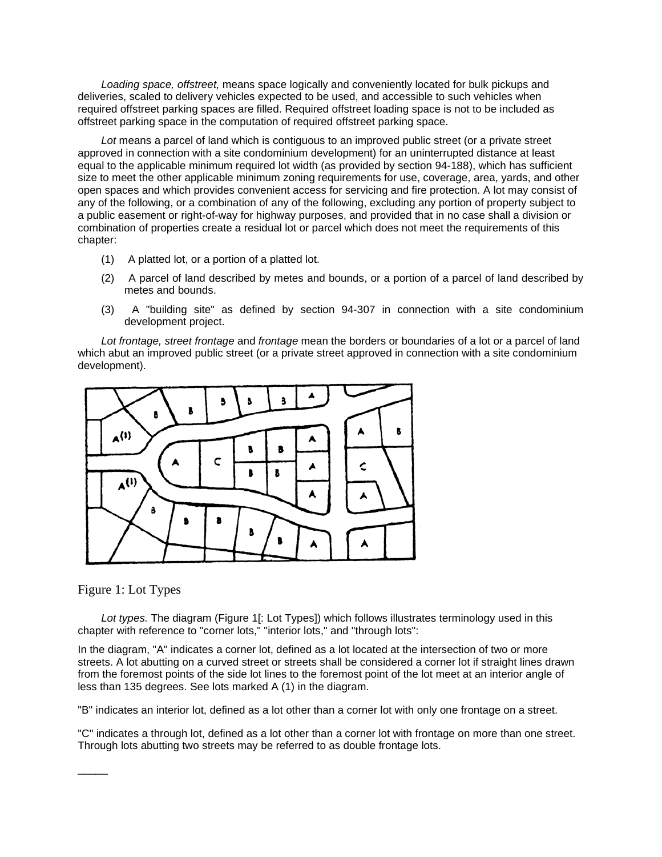*Loading space, offstreet,* means space logically and conveniently located for bulk pickups and deliveries, scaled to delivery vehicles expected to be used, and accessible to such vehicles when required offstreet parking spaces are filled. Required offstreet loading space is not to be included as offstreet parking space in the computation of required offstreet parking space.

*Lot* means a parcel of land which is contiguous to an improved public street (or a private street approved in connection with a site condominium development) for an uninterrupted distance at least equal to the applicable minimum required lot width (as provided by section 94-188), which has sufficient size to meet the other applicable minimum zoning requirements for use, coverage, area, yards, and other open spaces and which provides convenient access for servicing and fire protection. A lot may consist of any of the following, or a combination of any of the following, excluding any portion of property subject to a public easement or right-of-way for highway purposes, and provided that in no case shall a division or combination of properties create a residual lot or parcel which does not meet the requirements of this chapter:

- (1) A platted lot, or a portion of a platted lot.
- (2) A parcel of land described by metes and bounds, or a portion of a parcel of land described by metes and bounds.
- (3) A "building site" as defined by section 94-307 in connection with a site condominium development project.

*Lot frontage, street frontage* and *frontage* mean the borders or boundaries of a lot or a parcel of land which abut an improved public street (or a private street approved in connection with a site condominium development).



## Figure 1: Lot Types

 $\overline{\phantom{a}}$ 

Lot types. The diagram (Figure 1[: Lot Types]) which follows illustrates terminology used in this chapter with reference to "corner lots," "interior lots," and "through lots":

In the diagram, "A" indicates a corner lot, defined as a lot located at the intersection of two or more streets. A lot abutting on a curved street or streets shall be considered a corner lot if straight lines drawn from the foremost points of the side lot lines to the foremost point of the lot meet at an interior angle of less than 135 degrees. See lots marked A (1) in the diagram.

"B" indicates an interior lot, defined as a lot other than a corner lot with only one frontage on a street.

"C" indicates a through lot, defined as a lot other than a corner lot with frontage on more than one street. Through lots abutting two streets may be referred to as double frontage lots.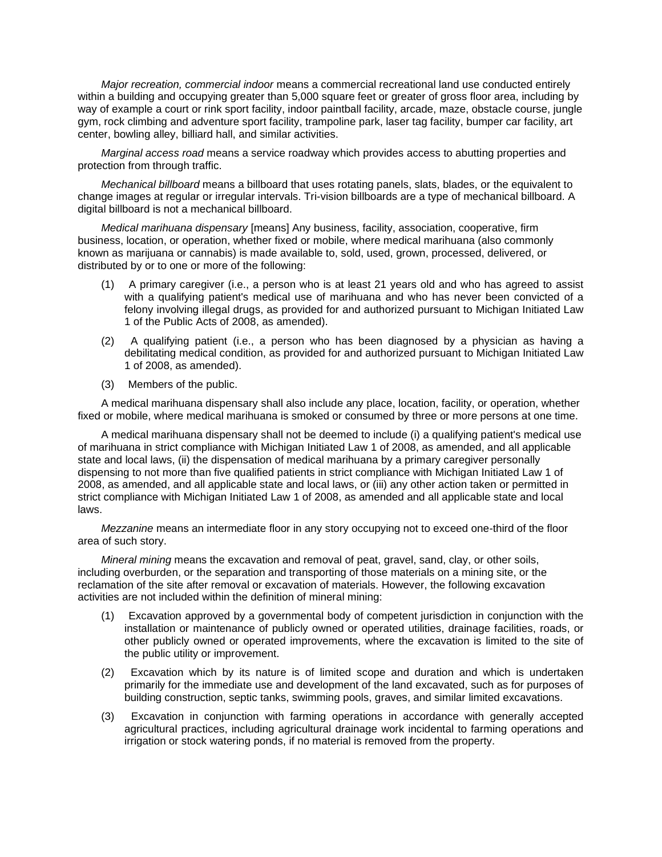*Major recreation, commercial indoor* means a commercial recreational land use conducted entirely within a building and occupying greater than 5,000 square feet or greater of gross floor area, including by way of example a court or rink sport facility, indoor paintball facility, arcade, maze, obstacle course, jungle gym, rock climbing and adventure sport facility, trampoline park, laser tag facility, bumper car facility, art center, bowling alley, billiard hall, and similar activities.

*Marginal access road* means a service roadway which provides access to abutting properties and protection from through traffic.

*Mechanical billboard* means a billboard that uses rotating panels, slats, blades, or the equivalent to change images at regular or irregular intervals. Tri-vision billboards are a type of mechanical billboard. A digital billboard is not a mechanical billboard.

*Medical marihuana dispensary* [means] Any business, facility, association, cooperative, firm business, location, or operation, whether fixed or mobile, where medical marihuana (also commonly known as marijuana or cannabis) is made available to, sold, used, grown, processed, delivered, or distributed by or to one or more of the following:

- (1) A primary caregiver (i.e., a person who is at least 21 years old and who has agreed to assist with a qualifying patient's medical use of marihuana and who has never been convicted of a felony involving illegal drugs, as provided for and authorized pursuant to Michigan Initiated Law 1 of the Public Acts of 2008, as amended).
- (2) A qualifying patient (i.e., a person who has been diagnosed by a physician as having a debilitating medical condition, as provided for and authorized pursuant to Michigan Initiated Law 1 of 2008, as amended).
- (3) Members of the public.

A medical marihuana dispensary shall also include any place, location, facility, or operation, whether fixed or mobile, where medical marihuana is smoked or consumed by three or more persons at one time.

A medical marihuana dispensary shall not be deemed to include (i) a qualifying patient's medical use of marihuana in strict compliance with Michigan Initiated Law 1 of 2008, as amended, and all applicable state and local laws, (ii) the dispensation of medical marihuana by a primary caregiver personally dispensing to not more than five qualified patients in strict compliance with Michigan Initiated Law 1 of 2008, as amended, and all applicable state and local laws, or (iii) any other action taken or permitted in strict compliance with Michigan Initiated Law 1 of 2008, as amended and all applicable state and local laws.

*Mezzanine* means an intermediate floor in any story occupying not to exceed one-third of the floor area of such story.

*Mineral mining* means the excavation and removal of peat, gravel, sand, clay, or other soils, including overburden, or the separation and transporting of those materials on a mining site, or the reclamation of the site after removal or excavation of materials. However, the following excavation activities are not included within the definition of mineral mining:

- (1) Excavation approved by a governmental body of competent jurisdiction in conjunction with the installation or maintenance of publicly owned or operated utilities, drainage facilities, roads, or other publicly owned or operated improvements, where the excavation is limited to the site of the public utility or improvement.
- (2) Excavation which by its nature is of limited scope and duration and which is undertaken primarily for the immediate use and development of the land excavated, such as for purposes of building construction, septic tanks, swimming pools, graves, and similar limited excavations.
- (3) Excavation in conjunction with farming operations in accordance with generally accepted agricultural practices, including agricultural drainage work incidental to farming operations and irrigation or stock watering ponds, if no material is removed from the property.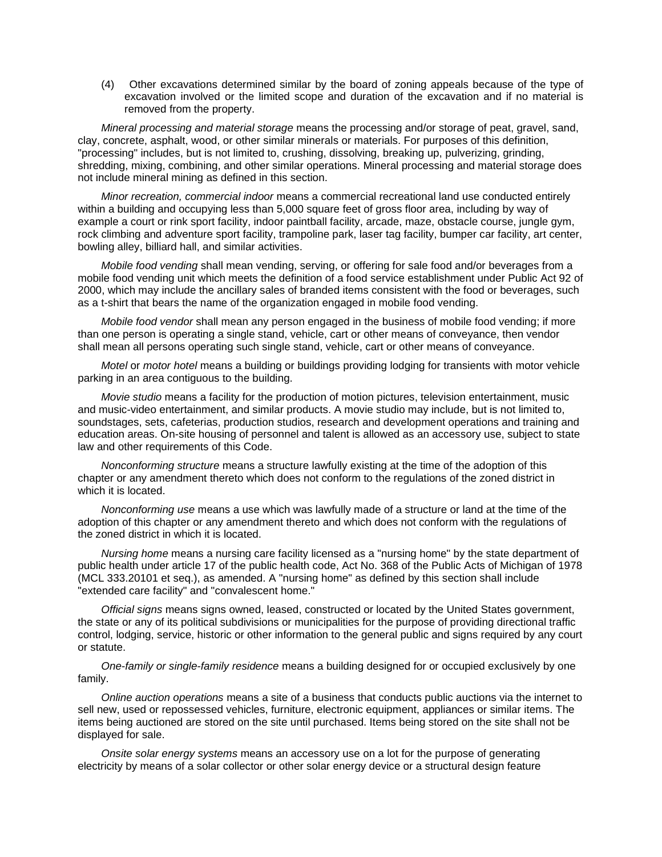(4) Other excavations determined similar by the board of zoning appeals because of the type of excavation involved or the limited scope and duration of the excavation and if no material is removed from the property.

*Mineral processing and material storage* means the processing and/or storage of peat, gravel, sand, clay, concrete, asphalt, wood, or other similar minerals or materials. For purposes of this definition, "processing" includes, but is not limited to, crushing, dissolving, breaking up, pulverizing, grinding, shredding, mixing, combining, and other similar operations. Mineral processing and material storage does not include mineral mining as defined in this section.

*Minor recreation, commercial indoor* means a commercial recreational land use conducted entirely within a building and occupying less than 5,000 square feet of gross floor area, including by way of example a court or rink sport facility, indoor paintball facility, arcade, maze, obstacle course, jungle gym, rock climbing and adventure sport facility, trampoline park, laser tag facility, bumper car facility, art center, bowling alley, billiard hall, and similar activities.

*Mobile food vending* shall mean vending, serving, or offering for sale food and/or beverages from a mobile food vending unit which meets the definition of a food service establishment under Public Act 92 of 2000, which may include the ancillary sales of branded items consistent with the food or beverages, such as a t-shirt that bears the name of the organization engaged in mobile food vending.

*Mobile food vendor* shall mean any person engaged in the business of mobile food vending; if more than one person is operating a single stand, vehicle, cart or other means of conveyance, then vendor shall mean all persons operating such single stand, vehicle, cart or other means of conveyance.

*Motel* or *motor hotel* means a building or buildings providing lodging for transients with motor vehicle parking in an area contiguous to the building.

*Movie studio* means a facility for the production of motion pictures, television entertainment, music and music-video entertainment, and similar products. A movie studio may include, but is not limited to, soundstages, sets, cafeterias, production studios, research and development operations and training and education areas. On-site housing of personnel and talent is allowed as an accessory use, subject to state law and other requirements of this Code.

*Nonconforming structure* means a structure lawfully existing at the time of the adoption of this chapter or any amendment thereto which does not conform to the regulations of the zoned district in which it is located.

*Nonconforming use* means a use which was lawfully made of a structure or land at the time of the adoption of this chapter or any amendment thereto and which does not conform with the regulations of the zoned district in which it is located.

*Nursing home* means a nursing care facility licensed as a "nursing home" by the state department of public health under article 17 of the public health code, Act No. 368 of the Public Acts of Michigan of 1978 (MCL 333.20101 et seq.), as amended. A "nursing home" as defined by this section shall include "extended care facility" and "convalescent home."

*Official signs* means signs owned, leased, constructed or located by the United States government, the state or any of its political subdivisions or municipalities for the purpose of providing directional traffic control, lodging, service, historic or other information to the general public and signs required by any court or statute.

*One-family or single-family residence* means a building designed for or occupied exclusively by one family.

*Online auction operations* means a site of a business that conducts public auctions via the internet to sell new, used or repossessed vehicles, furniture, electronic equipment, appliances or similar items. The items being auctioned are stored on the site until purchased. Items being stored on the site shall not be displayed for sale.

*Onsite solar energy systems* means an accessory use on a lot for the purpose of generating electricity by means of a solar collector or other solar energy device or a structural design feature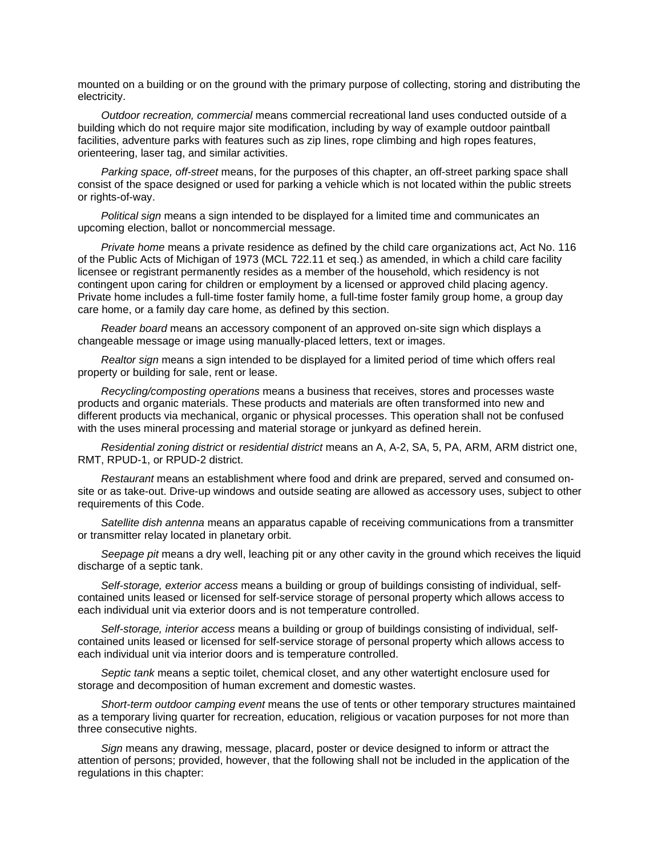mounted on a building or on the ground with the primary purpose of collecting, storing and distributing the electricity.

*Outdoor recreation, commercial* means commercial recreational land uses conducted outside of a building which do not require major site modification, including by way of example outdoor paintball facilities, adventure parks with features such as zip lines, rope climbing and high ropes features, orienteering, laser tag, and similar activities.

*Parking space, off-street* means, for the purposes of this chapter, an off-street parking space shall consist of the space designed or used for parking a vehicle which is not located within the public streets or rights-of-way.

*Political sign* means a sign intended to be displayed for a limited time and communicates an upcoming election, ballot or noncommercial message.

*Private home* means a private residence as defined by the child care organizations act, Act No. 116 of the Public Acts of Michigan of 1973 (MCL 722.11 et seq.) as amended, in which a child care facility licensee or registrant permanently resides as a member of the household, which residency is not contingent upon caring for children or employment by a licensed or approved child placing agency. Private home includes a full-time foster family home, a full-time foster family group home, a group day care home, or a family day care home, as defined by this section.

*Reader board* means an accessory component of an approved on-site sign which displays a changeable message or image using manually-placed letters, text or images.

*Realtor sign* means a sign intended to be displayed for a limited period of time which offers real property or building for sale, rent or lease.

*Recycling/composting operations* means a business that receives, stores and processes waste products and organic materials. These products and materials are often transformed into new and different products via mechanical, organic or physical processes. This operation shall not be confused with the uses mineral processing and material storage or junkyard as defined herein.

*Residential zoning district* or *residential district* means an A, A-2, SA, 5, PA, ARM, ARM district one, RMT, RPUD-1, or RPUD-2 district.

*Restaurant* means an establishment where food and drink are prepared, served and consumed onsite or as take-out. Drive-up windows and outside seating are allowed as accessory uses, subject to other requirements of this Code.

*Satellite dish antenna* means an apparatus capable of receiving communications from a transmitter or transmitter relay located in planetary orbit.

*Seepage pit* means a dry well, leaching pit or any other cavity in the ground which receives the liquid discharge of a septic tank.

*Self-storage, exterior access* means a building or group of buildings consisting of individual, selfcontained units leased or licensed for self-service storage of personal property which allows access to each individual unit via exterior doors and is not temperature controlled.

*Self-storage, interior access* means a building or group of buildings consisting of individual, selfcontained units leased or licensed for self-service storage of personal property which allows access to each individual unit via interior doors and is temperature controlled.

*Septic tank* means a septic toilet, chemical closet, and any other watertight enclosure used for storage and decomposition of human excrement and domestic wastes.

*Short-term outdoor camping event* means the use of tents or other temporary structures maintained as a temporary living quarter for recreation, education, religious or vacation purposes for not more than three consecutive nights.

*Sign* means any drawing, message, placard, poster or device designed to inform or attract the attention of persons; provided, however, that the following shall not be included in the application of the regulations in this chapter: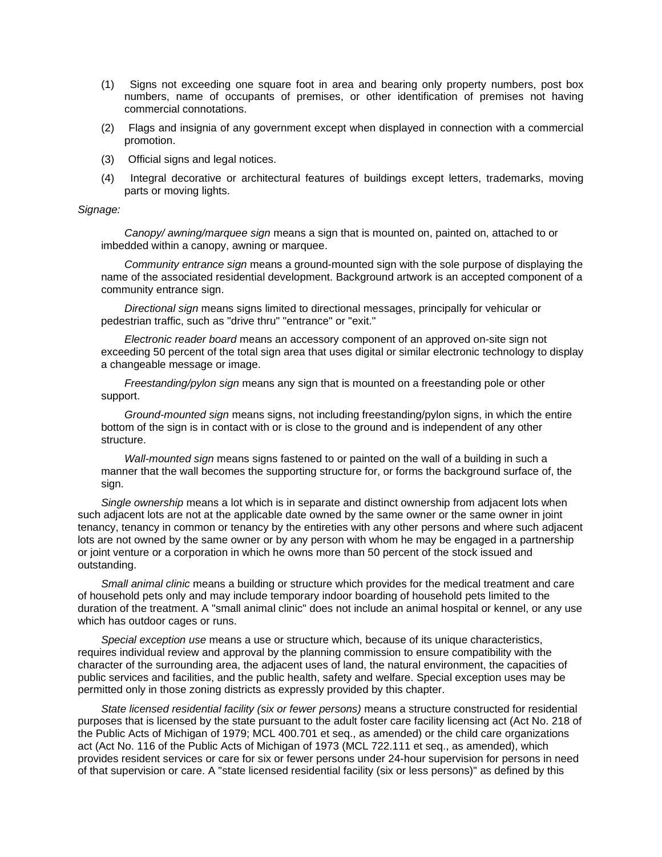- (1) Signs not exceeding one square foot in area and bearing only property numbers, post box numbers, name of occupants of premises, or other identification of premises not having commercial connotations.
- (2) Flags and insignia of any government except when displayed in connection with a commercial promotion.
- (3) Official signs and legal notices.
- (4) Integral decorative or architectural features of buildings except letters, trademarks, moving parts or moving lights.

*Signage:*

*Canopy/ awning/marquee sign* means a sign that is mounted on, painted on, attached to or imbedded within a canopy, awning or marquee.

*Community entrance sign* means a ground-mounted sign with the sole purpose of displaying the name of the associated residential development. Background artwork is an accepted component of a community entrance sign.

*Directional sign* means signs limited to directional messages, principally for vehicular or pedestrian traffic, such as "drive thru" "entrance" or "exit."

*Electronic reader board* means an accessory component of an approved on-site sign not exceeding 50 percent of the total sign area that uses digital or similar electronic technology to display a changeable message or image.

*Freestanding/pylon sign* means any sign that is mounted on a freestanding pole or other support.

*Ground-mounted sign* means signs, not including freestanding/pylon signs, in which the entire bottom of the sign is in contact with or is close to the ground and is independent of any other structure.

*Wall-mounted sign* means signs fastened to or painted on the wall of a building in such a manner that the wall becomes the supporting structure for, or forms the background surface of, the sign.

*Single ownership* means a lot which is in separate and distinct ownership from adjacent lots when such adjacent lots are not at the applicable date owned by the same owner or the same owner in joint tenancy, tenancy in common or tenancy by the entireties with any other persons and where such adjacent lots are not owned by the same owner or by any person with whom he may be engaged in a partnership or joint venture or a corporation in which he owns more than 50 percent of the stock issued and outstanding.

*Small animal clinic* means a building or structure which provides for the medical treatment and care of household pets only and may include temporary indoor boarding of household pets limited to the duration of the treatment. A "small animal clinic" does not include an animal hospital or kennel, or any use which has outdoor cages or runs.

*Special exception use* means a use or structure which, because of its unique characteristics, requires individual review and approval by the planning commission to ensure compatibility with the character of the surrounding area, the adjacent uses of land, the natural environment, the capacities of public services and facilities, and the public health, safety and welfare. Special exception uses may be permitted only in those zoning districts as expressly provided by this chapter.

*State licensed residential facility (six or fewer persons)* means a structure constructed for residential purposes that is licensed by the state pursuant to the adult foster care facility licensing act (Act No. 218 of the Public Acts of Michigan of 1979; MCL 400.701 et seq., as amended) or the child care organizations act (Act No. 116 of the Public Acts of Michigan of 1973 (MCL 722.111 et seq., as amended), which provides resident services or care for six or fewer persons under 24-hour supervision for persons in need of that supervision or care. A "state licensed residential facility (six or less persons)" as defined by this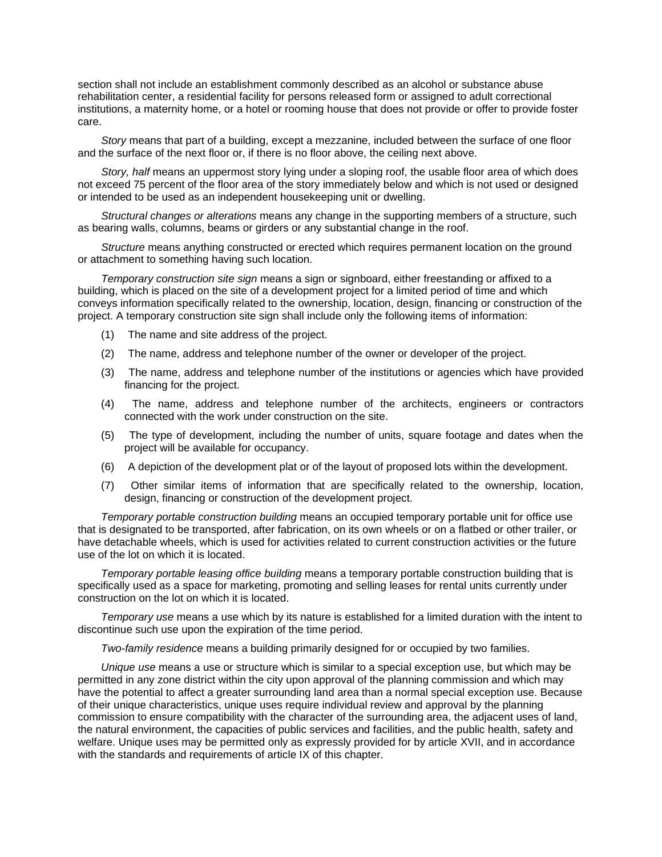section shall not include an establishment commonly described as an alcohol or substance abuse rehabilitation center, a residential facility for persons released form or assigned to adult correctional institutions, a maternity home, or a hotel or rooming house that does not provide or offer to provide foster care.

*Story* means that part of a building, except a mezzanine, included between the surface of one floor and the surface of the next floor or, if there is no floor above, the ceiling next above.

*Story, half* means an uppermost story lying under a sloping roof, the usable floor area of which does not exceed 75 percent of the floor area of the story immediately below and which is not used or designed or intended to be used as an independent housekeeping unit or dwelling.

*Structural changes or alterations* means any change in the supporting members of a structure, such as bearing walls, columns, beams or girders or any substantial change in the roof.

*Structure* means anything constructed or erected which requires permanent location on the ground or attachment to something having such location.

*Temporary construction site sign* means a sign or signboard, either freestanding or affixed to a building, which is placed on the site of a development project for a limited period of time and which conveys information specifically related to the ownership, location, design, financing or construction of the project. A temporary construction site sign shall include only the following items of information:

- (1) The name and site address of the project.
- (2) The name, address and telephone number of the owner or developer of the project.
- (3) The name, address and telephone number of the institutions or agencies which have provided financing for the project.
- (4) The name, address and telephone number of the architects, engineers or contractors connected with the work under construction on the site.
- (5) The type of development, including the number of units, square footage and dates when the project will be available for occupancy.
- (6) A depiction of the development plat or of the layout of proposed lots within the development.
- (7) Other similar items of information that are specifically related to the ownership, location, design, financing or construction of the development project.

*Temporary portable construction building* means an occupied temporary portable unit for office use that is designated to be transported, after fabrication, on its own wheels or on a flatbed or other trailer, or have detachable wheels, which is used for activities related to current construction activities or the future use of the lot on which it is located.

*Temporary portable leasing office building* means a temporary portable construction building that is specifically used as a space for marketing, promoting and selling leases for rental units currently under construction on the lot on which it is located.

*Temporary use* means a use which by its nature is established for a limited duration with the intent to discontinue such use upon the expiration of the time period.

*Two-family residence* means a building primarily designed for or occupied by two families.

*Unique use* means a use or structure which is similar to a special exception use, but which may be permitted in any zone district within the city upon approval of the planning commission and which may have the potential to affect a greater surrounding land area than a normal special exception use. Because of their unique characteristics, unique uses require individual review and approval by the planning commission to ensure compatibility with the character of the surrounding area, the adjacent uses of land, the natural environment, the capacities of public services and facilities, and the public health, safety and welfare. Unique uses may be permitted only as expressly provided for by article XVII, and in accordance with the standards and requirements of article IX of this chapter.